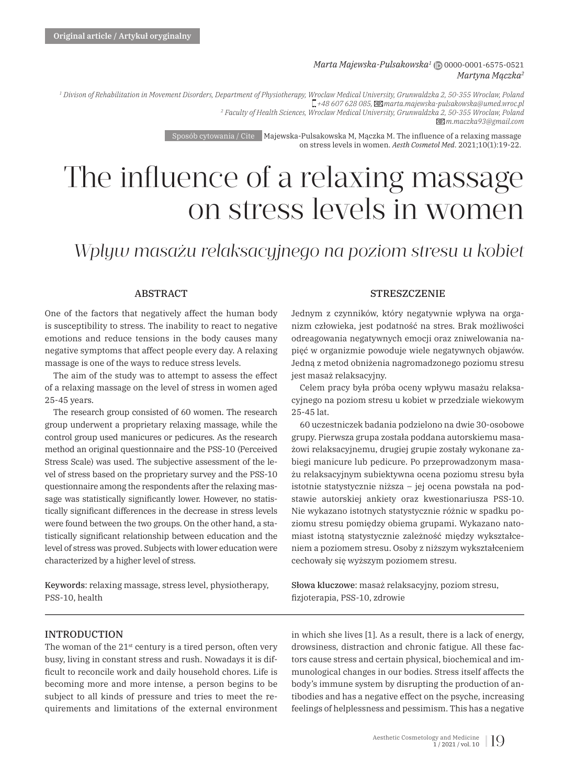#### *Marta Majewska-Pulsakowska<sup>1</sup>* | 0000-0001-6575-0521 *Martyna Mączka<sup>2</sup>*

*1 Divison of Rehabilitation in Movement Disorders, Department of Physiotherapy, Wroclaw Medical University, Grunwaldzka 2, 50-355 Wroclaw, Poland +48 607 628 085, marta.majewska-pulsakowska@umed.wroc.pl 2 Faculty of Health Sciences, Wroclaw Medical University, Grunwaldzka 2, 50-355 Wroclaw, Poland m.maczka93@gmail.com*

> Sposób cytowania / Cite Majewska-Pulsakowska M, Mączka M. The influence of a relaxing massage on stress levels in women. *Aesth Cosmetol Med*. 2021;10(1):19-22.

# The influence of a relaxing massage on stress levels in women

# *Wpływ masażu relaksacyjnego na poziom stresu u kobiet*

# **ABSTRACT**

One of the factors that negatively affect the human body is susceptibility to stress. The inability to react to negative emotions and reduce tensions in the body causes many negative symptoms that affect people every day. A relaxing massage is one of the ways to reduce stress levels.

The aim of the study was to attempt to assess the effect of a relaxing massage on the level of stress in women aged 25-45 years.

The research group consisted of 60 women. The research group underwent a proprietary relaxing massage, while the control group used manicures or pedicures. As the research method an original questionnaire and the PSS-10 (Perceived Stress Scale) was used. The subjective assessment of the level of stress based on the proprietary survey and the PSS-10 questionnaire among the respondents after the relaxing massage was statistically significantly lower. However, no statistically significant differences in the decrease in stress levels were found between the two groups. On the other hand, a statistically significant relationship between education and the level of stress was proved. Subjects with lower education were characterized by a higher level of stress.

Keywords: relaxing massage, stress level, physiotherapy, PSS-10, health

#### STRESZCZENIE

Jednym z czynników, który negatywnie wpływa na organizm człowieka, jest podatność na stres. Brak możliwości odreagowania negatywnych emocji oraz zniwelowania napięć w organizmie powoduje wiele negatywnych objawów. Jedną z metod obniżenia nagromadzonego poziomu stresu jest masaż relaksacyjny.

Celem pracy była próba oceny wpływu masażu relaksacyjnego na poziom stresu u kobiet w przedziale wiekowym 25-45 lat.

60 uczestniczek badania podzielono na dwie 30-osobowe grupy. Pierwsza grupa została poddana autorskiemu masażowi relaksacyjnemu, drugiej grupie zostały wykonane zabiegi manicure lub pedicure. Po przeprowadzonym masażu relaksacyjnym subiektywna ocena poziomu stresu była istotnie statystycznie niższa – jej ocena powstała na podstawie autorskiej ankiety oraz kwestionariusza PSS-10. Nie wykazano istotnych statystycznie różnic w spadku poziomu stresu pomiędzy obiema grupami. Wykazano natomiast istotną statystycznie zależność między wykształceniem a poziomem stresu. Osoby z niższym wykształceniem cechowały się wyższym poziomem stresu.

Słowa kluczowe: masaż relaksacyjny, poziom stresu, fi zjoterapia, PSS-10, zdrowie

# INTRODUCTION

The woman of the 21<sup>st</sup> century is a tired person, often very busy, living in constant stress and rush. Nowadays it is difficult to reconcile work and daily household chores. Life is becoming more and more intense, a person begins to be subject to all kinds of pressure and tries to meet the requirements and limitations of the external environment

in which she lives [1]. As a result, there is a lack of energy, drowsiness, distraction and chronic fatigue. All these factors cause stress and certain physical, biochemical and immunological changes in our bodies. Stress itself affects the body's immune system by disrupting the production of antibodies and has a negative effect on the psyche, increasing feelings of helplessness and pessimism. This has a negative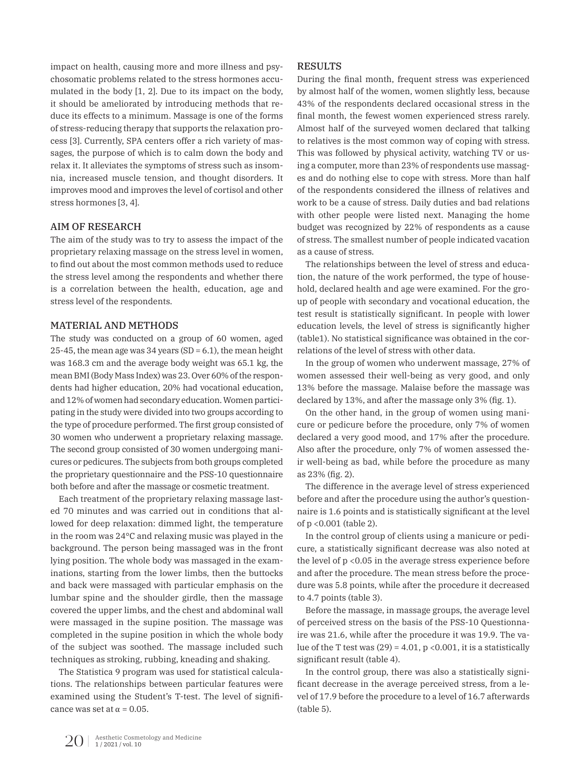impact on health, causing more and more illness and psychosomatic problems related to the stress hormones accumulated in the body [1, 2]. Due to its impact on the body, it should be ameliorated by introducing methods that reduce its effects to a minimum. Massage is one of the forms of stress-reducing therapy that supports the relaxation process [3]. Currently, SPA centers offer a rich variety of massages, the purpose of which is to calm down the body and relax it. It alleviates the symptoms of stress such as insomnia, increased muscle tension, and thought disorders. It improves mood and improves the level of cortisol and other stress hormones [3, 4].

# AIM OF RESEARCH

The aim of the study was to try to assess the impact of the proprietary relaxing massage on the stress level in women, to find out about the most common methods used to reduce the stress level among the respondents and whether there is a correlation between the health, education, age and stress level of the respondents.

# MATERIAL AND METHODS

The study was conducted on a group of 60 women, aged 25-45, the mean age was 34 years (SD =  $6.1$ ), the mean height was 168.3 cm and the average body weight was 65.1 kg, the mean BMI (Body Mass Index) was 23. Over 60% of the respondents had higher education, 20% had vocational education, and 12% of women had secondary education. Women participating in the study were divided into two groups according to the type of procedure performed. The first group consisted of 30 women who underwent a proprietary relaxing massage. The second group consisted of 30 women undergoing manicures or pedicures. The subjects from both groups completed the proprietary questionnaire and the PSS-10 questionnaire both before and after the massage or cosmetic treatment.

Each treatment of the proprietary relaxing massage lasted 70 minutes and was carried out in conditions that allowed for deep relaxation: dimmed light, the temperature in the room was 24°C and relaxing music was played in the background. The person being massaged was in the front lying position. The whole body was massaged in the examinations, starting from the lower limbs, then the buttocks and back were massaged with particular emphasis on the lumbar spine and the shoulder girdle, then the massage covered the upper limbs, and the chest and abdominal wall were massaged in the supine position. The massage was completed in the supine position in which the whole body of the subject was soothed. The massage included such techniques as stroking, rubbing, kneading and shaking.

The Statistica 9 program was used for statistical calculations. The relationships between particular features were examined using the Student's T-test. The level of significance was set at  $\alpha$  = 0.05.

# RESULTS

During the final month, frequent stress was experienced by almost half of the women, women slightly less, because 43% of the respondents declared occasional stress in the final month, the fewest women experienced stress rarely. Almost half of the surveyed women declared that talking to relatives is the most common way of coping with stress. This was followed by physical activity, watching TV or using a computer, more than 23% of respondents use massages and do nothing else to cope with stress. More than half of the respondents considered the illness of relatives and work to be a cause of stress. Daily duties and bad relations with other people were listed next. Managing the home budget was recognized by 22% of respondents as a cause of stress. The smallest number of people indicated vacation as a cause of stress.

The relationships between the level of stress and education, the nature of the work performed, the type of household, declared health and age were examined. For the group of people with secondary and vocational education, the test result is statistically significant. In people with lower education levels, the level of stress is significantly higher (table1). No statistical significance was obtained in the correlations of the level of stress with other data.

In the group of women who underwent massage, 27% of women assessed their well-being as very good, and only 13% before the massage. Malaise before the massage was declared by 13%, and after the massage only 3% (fig. 1).

On the other hand, in the group of women using manicure or pedicure before the procedure, only 7% of women declared a very good mood, and 17% after the procedure. Also after the procedure, only 7% of women assessed their well-being as bad, while before the procedure as many as 23% (fig. 2).

The difference in the average level of stress experienced before and after the procedure using the author's questionnaire is 1.6 points and is statistically significant at the level of p <0.001 (table 2).

In the control group of clients using a manicure or pedicure, a statistically significant decrease was also noted at the level of p <0.05 in the average stress experience before and after the procedure. The mean stress before the procedure was 5.8 points, while after the procedure it decreased to 4.7 points (table 3).

Before the massage, in massage groups, the average level of perceived stress on the basis of the PSS-10 Questionnaire was 21.6, while after the procedure it was 19.9. The value of the T test was  $(29) = 4.01$ , p < 0.001, it is a statistically significant result (table 4).

In the control group, there was also a statistically significant decrease in the average perceived stress, from a level of 17.9 before the procedure to a level of 16.7 afterwards (table 5).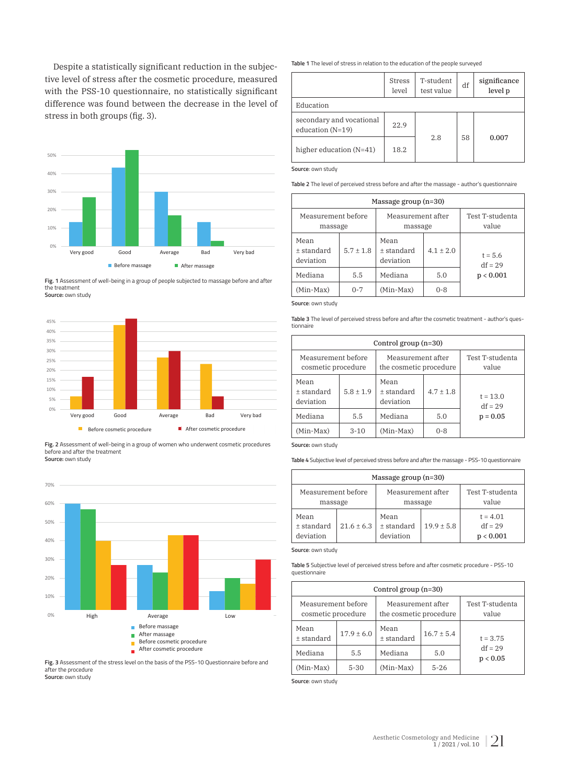stress in both groups (fig. 3). Despite a statistically significant reduction in the subjective level of stress after the cosmetic procedure, measured with the PSS-10 questionnaire, no statistically significant difference was found between the decrease in the level of



Fig. 1 Assessment of well-being in a group of people subjected to massage before and after  $\blacksquare$ Bardzo dobrze Dobrze  $\blacksquare$  $\sqrt{a}$ the treatment **Source:** own study



**Fig. 2** Assessment of well-being in a group of women who underwent cosmetic procedures<br>before and after the treatment **Source:** own study Przed zabiegiem Po zabiegu kosmetycznym Po zabiegu kosmetycznym Po zabiegu kosmetycznym Po zabiegu kosmetyczny<br>ad after the treatment Przed zabiegiem kosmetycznym Pozabiegu kosmetycznym Beforecosmetic procedure Aftercosmetic procedure 5%  $\epsilon$ .



**Fig. 3** Assessment of the stress level on the basis of the PSS-10 Questionnaire before and after the procedure **Source:** own study

**Table 1** The level of stress in relation to the education of the people surveyed

|                                                | <b>Stress</b><br>level | T-student<br>test value | df | significance<br>level p |
|------------------------------------------------|------------------------|-------------------------|----|-------------------------|
| Education                                      |                        |                         |    |                         |
| secondary and vocational<br>education $(N=19)$ | 22.9                   |                         |    |                         |
| higher education $(N=41)$                      | 18.2                   | 2.8                     | 58 | 0.007                   |

**Source**: own study

**Table 2** The level of perceived stress before and after the massage - author's questionnaire

| Massage group $(n=30)$          |               |                                 |             |                          |
|---------------------------------|---------------|---------------------------------|-------------|--------------------------|
| Measurement before<br>massage   |               | Measurement after<br>massage    |             | Test T-studenta<br>value |
| Mean<br>+ standard<br>deviation | $5.7 \pm 1.8$ | Mean<br>+ standard<br>deviation | $4.1 + 2.0$ | $t = 5.6$<br>$df = 29$   |
| Mediana                         | 5.5           | Mediana                         | 5.0         | p < 0.001                |
| (Min-Max)                       | $0 - 7$       | (Min-Max)                       | $0 - 8$     |                          |

**Source**: own study

**Table 3** The level of perceived stress before and after the cosmetic treatment - author's questionnaire

| Control group $(n=30)$                   |             |                                             |             |                          |  |
|------------------------------------------|-------------|---------------------------------------------|-------------|--------------------------|--|
| Measurement before<br>cosmetic procedure |             | Measurement after<br>the cosmetic procedure |             | Test T-studenta<br>value |  |
| Mean<br>+ standard<br>deviation          | $5.8 + 1.9$ | Mean<br>+ standard<br>deviation             | $4.7 + 1.8$ | $t = 13.0$<br>$df = 29$  |  |
| Mediana                                  | 5.5         | Mediana                                     | 5.0         | $p = 0.05$               |  |
| (Min-Max)                                | $3-10$      | (Min-Max)                                   | $0 - 8$     |                          |  |

**Source:** own study

**Table 4** Subjective level of perceived stress before and after the massage - PSS-10 questionnaire

|                                   |                | Massage group $(n=30)$              |              |                                      |
|-----------------------------------|----------------|-------------------------------------|--------------|--------------------------------------|
| Measurement before<br>massage     |                | Measurement after<br>massage        |              | Test T-studenta<br>value             |
| Mean<br>$±$ standard<br>deviation | $21.6 \pm 6.3$ | Mean<br>$\pm$ standard<br>deviation | $19.9 + 5.8$ | $t = 4.01$<br>$df = 29$<br>p < 0.001 |

**Source**: own study

**Table 5** Subjective level of perceived stress before and after cosmetic procedure - PSS-10 questionnaire

| Control group $(n=30)$                   |                |                                             |              |                          |  |
|------------------------------------------|----------------|---------------------------------------------|--------------|--------------------------|--|
| Measurement before<br>cosmetic procedure |                | Measurement after<br>the cosmetic procedure |              | Test T-studenta<br>value |  |
| Mean<br>$±$ standard                     | $17.9 \pm 6.0$ | Mean<br>$±$ standard                        | $16.7 + 5.4$ | $t = 3.75$               |  |
| Mediana                                  | 5.5            | Mediana                                     | 5.0          | $df = 29$<br>p < 0.05    |  |
| (Min-Max)                                | $5 - 30$       | $(Min-Max)$                                 | $5 - 26$     |                          |  |

**Source**: own study